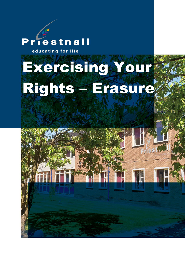## Priestnall

educating for life

# Exercising Your Rights – Erasure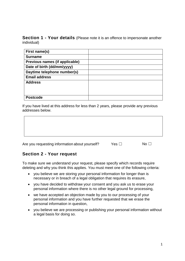**Section 1 - Your details** (Please note it is an offence to impersonate another individual)

| First name(s)                  |  |
|--------------------------------|--|
| <b>Surname</b>                 |  |
| Previous names (if applicable) |  |
| Date of birth (dd/mm/yyyy)     |  |
| Daytime telephone number(s)    |  |
| <b>Email address</b>           |  |
| <b>Address</b>                 |  |
|                                |  |
|                                |  |
| <b>Postcode</b>                |  |

If you have lived at this address for less than 2 years, please provide any previous addresses below.

Are you requesting information about yourself? Yes □ No □

#### **Section 2 - Your request**

To make sure we understand your request, please specify which records require deleting and why you think this applies. You must meet one of the following criteria:

- you believe we are storing your personal information for longer than is necessary or in breach of a legal obligation that requires its erasure,
- you have decided to withdraw your consent and you ask us to erase your personal information where there is no other legal ground for processing,
- we have accepted an objection made by you to our processing of your personal information and you have further requested that we erase the personal information in question,
- you believe we are processing or publishing your personal information without a legal basis for doing so.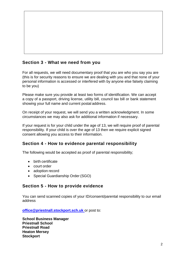#### **Section 3 - What we need from you**

For all requests, we will need documentary proof that you are who you say you are (this is for security reasons to ensure we are dealing with you and that none of your personal information is accessed or interfered with by anyone else falsely claiming to be you)

Please make sure you provide at least two forms of identification. We can accept a copy of a passport, driving license, utility bill, council tax bill or bank statement showing your full name and current postal address.

On receipt of your request, we will send you a written acknowledgment. In some circumstances we may also ask for additional information if necessary.

If your request is for your child under the age of 13, we will require proof of parental responsibility. If your child is over the age of 13 then we require explicit signed consent allowing you access to their information.

#### **Section 4 - How to evidence parental responsibility**

The following would be accepted as proof of parental responsibility;

- birth certificate
- court order
- adoption record
- Special Guardianship Order (SGO)

#### **Section 5 - How to provide evidence**

You can send scanned copies of your ID/consent/parental responsibility to our email address

**[office@priestnall.stockport.sch.uk](mailto:office@priestnall.stockport.sch.uk)** or post to:

**School Business Manager Priestnall School Priestnall Road Heaton Mersey Stockport**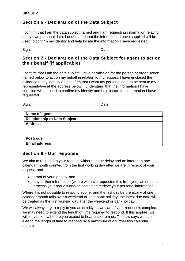#### **Section 6 - Declaration of the Data Subject**

I confirm that I am the data subject named and I am requesting information relating to my own personal data. I understand that the information I have supplied will be used to confirm my identity and help locate the information I have requested.

Sign: **Date:** Date:

#### **Section 7 - Declaration of the Data Subject for agent to act on their behalf (if applicable)**

I confirm that I am the data subject. I give permission for the person or organisation named below to act on my behalf in relation to my request. I have enclosed the evidence of my identity and confirm that I want my personal data to be sent to my representative at the address below. I understand that the information I have supplied will be used to confirm my identity and help locate the information I have requested.

Sign: **Date:** Date:

| Name of agent                       |  |
|-------------------------------------|--|
| <b>Relationship to Data Subject</b> |  |
| <b>Address</b>                      |  |
|                                     |  |
|                                     |  |
| <b>Postcode</b>                     |  |
| <b>Email address</b>                |  |

#### **Section 8 - Our response**

We aim to respond to your request without undue delay and no later than one calendar month counted from the first working day after we are in receipt of your request, and:

- proof of your identity, and
- any further information (where we have requested this from you) we need to process your request and/or locate and retrieve your personal information.

Where it is not possible to respond sooner and the last day before expiry of one calendar month falls over a weekend or on a bank holiday, the latest due date will be treated as the first working day after the weekend or bankholiday.

We will always try to reply to you as quickly as we can. If your request is complex, we may need to extend the length of time required to respond. If this applies, we will let you know before you expect to hear back from us. The law says we can extend the length of time to respond by a maximum of a further two calendar months.